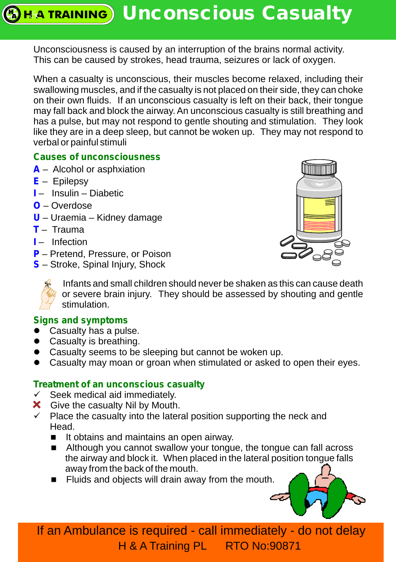# **EXA TRAINING** Unconscious Casualty

Unconsciousness is caused by an interruption of the brains normal activity. This can be caused by strokes, head trauma, seizures or lack of oxygen.

When a casualty is unconscious, their muscles become relaxed, including their swallowing muscles, and if the casualty is not placed on their side, they can choke on their own fluids. If an unconscious casualty is left on their back, their tongue may fall back and block the airway. An unconscious casualty is still breathing and has a pulse, but may not respond to gentle shouting and stimulation. They look like they are in a deep sleep, but cannot be woken up. They may not respond to verbal or painful stimuli

### **Causes of unconsciousness**

- **A** Alcohol or asphxiation
- **E** – Epilepsy
- **I**  Insulin Diabetic
- **O** – Overdose
- **U** Uraemia Kidney damage
- **T** Trauma
- **I**  Infection
- **P** Pretend, Pressure, or Poison
- **S** – Stroke, Spinal Injury, Shock





Infants and small children should never be shaken as this can cause death or severe brain injury. They should be assessed by shouting and gentle stimulation.

#### **Signs and symptoms**

- Casualty has a pulse.
- Casualty is breathing.
- Casualty seems to be sleeping but cannot be woken up.
- Casualty may moan or groan when stimulated or asked to open their eyes.

#### **T reatment of an unconscious casualty**

- $\checkmark$  Seek medical aid immediately.
- **X** Give the casualty Nil by Mouth.
- $\checkmark$  Place the casualty into the lateral position supporting the neck and Head.
	- It obtains and maintains an open airway.
	- Although you cannot swallow your tongue, the tongue can fall across the airway and block it. When placed in the lateral position tongue falls away from the back of the mouth.
	- **Fluids and objects will drain away from the mouth.**



If an Ambulance is required - call immediately - do not delay H & A Training PL RTO No:90871